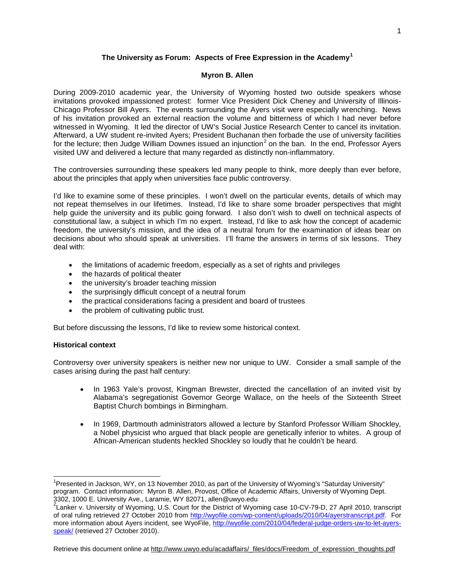# **The University as Forum: Aspects of Free Expression in the Academy[1](#page-0-0)**

### **Myron B. Allen**

During 2009-2010 academic year, the University of Wyoming hosted two outside speakers whose invitations provoked impassioned protest: former Vice President Dick Cheney and University of Illinois-Chicago Professor Bill Ayers. The events surrounding the Ayers visit were especially wrenching. News of his invitation provoked an external reaction the volume and bitterness of which I had never before witnessed in Wyoming. It led the director of UW's Social Justice Research Center to cancel its invitation. Afterward, a UW student re-invited Ayers; President Buchanan then forbade the use of university facilities for the lecture; then Judge William Downes issued an injunction<sup>[2](#page-0-1)</sup> on the ban. In the end, Professor Ayers visited UW and delivered a lecture that many regarded as distinctly non-inflammatory.

The controversies surrounding these speakers led many people to think, more deeply than ever before, about the principles that apply when universities face public controversy.

I'd like to examine some of these principles. I won't dwell on the particular events, details of which may not repeat themselves in our lifetimes. Instead, I'd like to share some broader perspectives that might help guide the university and its public going forward. I also don't wish to dwell on technical aspects of constitutional law, a subject in which I'm no expert. Instead, I'd like to ask how the concept of academic freedom, the university's mission, and the idea of a neutral forum for the examination of ideas bear on decisions about who should speak at universities. I'll frame the answers in terms of six lessons. They deal with:

- the limitations of academic freedom, especially as a set of rights and privileges
- the hazards of political theater
- the university's broader teaching mission
- the surprisingly difficult concept of a neutral forum
- the practical considerations facing a president and board of trustees
- the problem of cultivating public trust.

But before discussing the lessons, I'd like to review some historical context.

# **Historical context**

Controversy over university speakers is neither new nor unique to UW. Consider a small sample of the cases arising during the past half century:

- In 1963 Yale's provost, Kingman Brewster, directed the cancellation of an invited visit by Alabama's segregationist Governor George Wallace, on the heels of the Sixteenth Street Baptist Church bombings in Birmingham.
- In 1969, Dartmouth administrators allowed a lecture by Stanford Professor William Shockley, a Nobel physicist who argued that black people are genetically inferior to whites. A group of African-American students heckled Shockley so loudly that he couldn't be heard.

<span id="page-0-0"></span> <sup>1</sup> Presented in Jackson, WY, on 13 November 2010, as part of the University of Wyoming's "Saturday University" program. Contact information: Myron B. Allen, Provost, Office of Academic Affairs, University of Wyoming Dept.

<span id="page-0-2"></span><span id="page-0-1"></span><sup>3302, 1000</sup> E. University Ave., Laramie, WY 82071, allen@uwyo.edu<br><sup>2</sup>Lanker v. University of Wyoming, U.S. Court for the District of Wyoming case 10-CV-79-D, 27 April 2010, transcript of oral ruling retrieved 27 October 2010 from [http://wyofile.com/wp-content/uploads/2010/04/ayerstranscript.pdf.](http://wyofile.com/wp-content/uploads/2010/04/ayerstranscript.pdf) For more information about Ayers incident, see WyoFile, [http://wyofile.com/2010/04/federal-judge-orders-uw-to-let-ayers](http://wyofile.com/2010/04/federal-judge-orders-uw-to-let-ayers-speak/)[speak/](http://wyofile.com/2010/04/federal-judge-orders-uw-to-let-ayers-speak/) (retrieved 27 October 2010).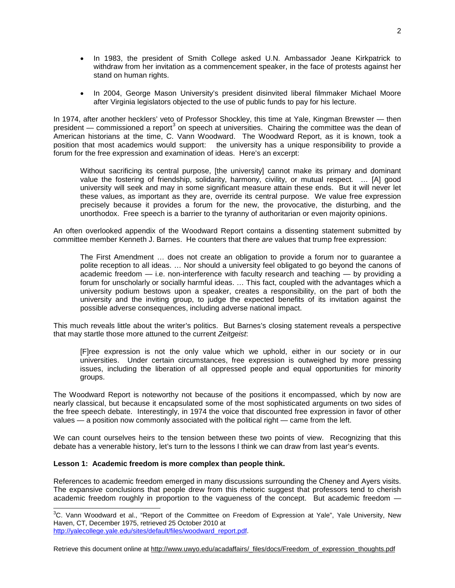- In 1983, the president of Smith College asked U.N. Ambassador Jeane Kirkpatrick to withdraw from her invitation as a commencement speaker, in the face of protests against her stand on human rights.
- In 2004, George Mason University's president disinvited liberal filmmaker Michael Moore after Virginia legislators objected to the use of public funds to pay for his lecture.

In 1974, after another hecklers' veto of Professor Shockley, this time at Yale, Kingman Brewster — then president — commissioned a report<sup>[3](#page-0-2)</sup> on speech at universities. Chairing the committee was the dean of American historians at the time, C. Vann Woodward. The Woodward Report, as it is known, took a position that most academics would support: the university has a unique responsibility to provide a forum for the free expression and examination of ideas. Here's an excerpt:

Without sacrificing its central purpose, [the university] cannot make its primary and dominant value the fostering of friendship, solidarity, harmony, civility, or mutual respect. … [A] good university will seek and may in some significant measure attain these ends. But it will never let these values, as important as they are, override its central purpose. We value free expression precisely because it provides a forum for the new, the provocative, the disturbing, and the unorthodox. Free speech is a barrier to the tyranny of authoritarian or even majority opinions.

An often overlooked appendix of the Woodward Report contains a dissenting statement submitted by committee member Kenneth J. Barnes. He counters that there *are* values that trump free expression:

The First Amendment … does not create an obligation to provide a forum nor to guarantee a polite reception to all ideas. … Nor should a university feel obligated to go beyond the canons of academic freedom — i.e. non-interference with faculty research and teaching — by providing a forum for unscholarly or socially harmful ideas. … This fact, coupled with the advantages which a university podium bestows upon a speaker, creates a responsibility, on the part of both the university and the inviting group, to judge the expected benefits of its invitation against the possible adverse consequences, including adverse national impact.

This much reveals little about the writer's politics. But Barnes's closing statement reveals a perspective that may startle those more attuned to the current *Zeitgeist*:

[F]ree expression is not the only value which we uphold, either in our society or in our universities. Under certain circumstances, free expression is outweighed by more pressing issues, including the liberation of all oppressed people and equal opportunities for minority groups.

The Woodward Report is noteworthy not because of the positions it encompassed, which by now are nearly classical, but because it encapsulated some of the most sophisticated arguments on two sides of the free speech debate. Interestingly, in 1974 the voice that discounted free expression in favor of other values — a position now commonly associated with the political right — came from the left.

We can count ourselves heirs to the tension between these two points of view. Recognizing that this debate has a venerable history, let's turn to the lessons I think we can draw from last year's events.

# **Lesson 1: Academic freedom is more complex than people think.**

References to academic freedom emerged in many discussions surrounding the Cheney and Ayers visits. The expansive conclusions that people drew from this rhetoric suggest that professors tend to cherish academic freedom roughly in proportion to the vagueness of the concept. But academic freedom —

<span id="page-1-0"></span> <sup>3</sup> C. Vann Woodward et al., "Report of the Committee on Freedom of Expression at Yale", Yale University, New Haven, CT, December 1975, retrieved 25 October 2010 at [http://yalecollege.yale.edu/sites/default/files/woodward\\_report.pdf.](http://yalecollege.yale.edu/sites/default/files/woodward_report.pdf)

Retrieve this document online at [http://www.uwyo.edu/acadaffairs/\\_files/docs/Freedom\\_of\\_expression\\_thoughts.pdf](http://www.uwyo.edu/acadaffairs/_files/docs/Freedom_of_expression_thoughts.pdf)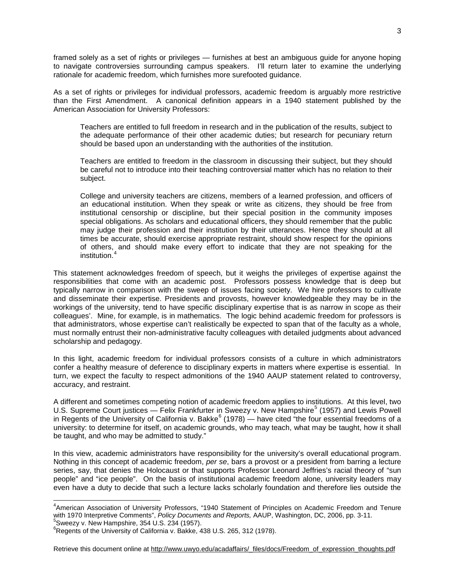framed solely as a set of rights or privileges — furnishes at best an ambiguous guide for anyone hoping to navigate controversies surrounding campus speakers. I'll return later to examine the underlying rationale for academic freedom, which furnishes more surefooted guidance.

As a set of rights or privileges for individual professors, academic freedom is arguably more restrictive than the First Amendment. A canonical definition appears in a 1940 statement published by the American Association for University Professors:

Teachers are entitled to full freedom in research and in the publication of the results, subject to the adequate performance of their other academic duties; but research for pecuniary return should be based upon an understanding with the authorities of the institution.

Teachers are entitled to freedom in the classroom in discussing their subject, but they should be careful not to introduce into their teaching controversial matter which has no relation to their subject.

College and university teachers are citizens, members of a learned profession, and officers of an educational institution. When they speak or write as citizens, they should be free from institutional censorship or discipline, but their special position in the community imposes special obligations. As scholars and educational officers, they should remember that the public may judge their profession and their institution by their utterances. Hence they should at all times be accurate, should exercise appropriate restraint, should show respect for the opinions of others, and should make every effort to indicate that they are not speaking for the institution.<sup>[4](#page-1-0)</sup>

This statement acknowledges freedom of speech, but it weighs the privileges of expertise against the responsibilities that come with an academic post. Professors possess knowledge that is deep but typically narrow in comparison with the sweep of issues facing society. We hire professors to cultivate and disseminate their expertise. Presidents and provosts, however knowledgeable they may be in the workings of the university, tend to have specific disciplinary expertise that is as narrow in scope as their colleagues'. Mine, for example, is in mathematics. The logic behind academic freedom for professors is that administrators, whose expertise can't realistically be expected to span that of the faculty as a whole, must normally entrust their non-administrative faculty colleagues with detailed judgments about advanced scholarship and pedagogy.

In this light, academic freedom for individual professors consists of a culture in which administrators confer a healthy measure of deference to disciplinary experts in matters where expertise is essential. In turn, we expect the faculty to respect admonitions of the 1940 AAUP statement related to controversy, accuracy, and restraint.

A different and sometimes competing notion of academic freedom applies to institutions. At this level, two U.S. Supreme Court justices — Felix Frankfurter in Sweezy v. New Hampshire<sup>[5](#page-2-0)</sup> (1957) and Lewis Powell in Regents of the University of California v. Bakke $^6$  $^6$  (1978) — have cited "the four essential freedoms of a university: to determine for itself, on academic grounds, who may teach, what may be taught, how it shall be taught, and who may be admitted to study."

In this view, academic administrators have responsibility for the university's overall educational program. Nothing in this concept of academic freedom, *per se*, bars a provost or a president from barring a lecture series, say, that denies the Holocaust or that supports Professor Leonard Jeffries's racial theory of "sun people" and "ice people". On the basis of institutional academic freedom alone, university leaders may even have a duty to decide that such a lecture lacks scholarly foundation and therefore lies outside the

 <sup>4</sup> American Association of University Professors, "1940 Statement of Principles on Academic Freedom and Tenure with 1970 Interpretive Comments", *Policy Documents and Reports*, AAUP, Washington, DC, 2006, pp. 3-11.

<span id="page-2-0"></span> $5$ Sweezy v. New Hampshire, 354 U.S. 234 (1957).

<span id="page-2-1"></span> $6$ [Regents of the University](http://supreme.justia.com/us/438/265/case.html) of California v. Bakke, 438 U.S. 265, 312 (1978).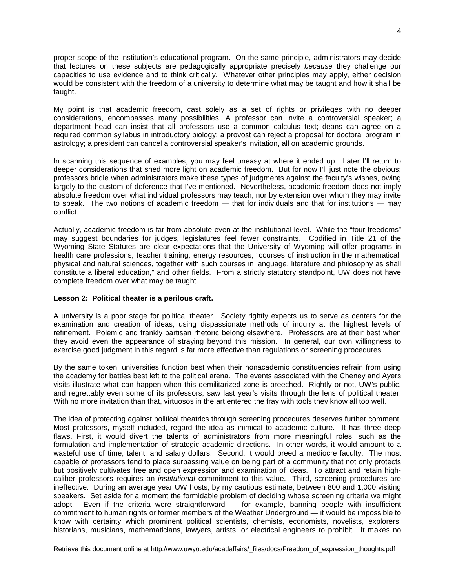proper scope of the institution's educational program. On the same principle, administrators may decide that lectures on these subjects are pedagogically appropriate precisely *because* they challenge our capacities to use evidence and to think critically. Whatever other principles may apply, either decision would be consistent with the freedom of a university to determine what may be taught and how it shall be taught.

My point is that academic freedom, cast solely as a set of rights or privileges with no deeper considerations, encompasses many possibilities. A professor can invite a controversial speaker; a department head can insist that all professors use a common calculus text; deans can agree on a required common syllabus in introductory biology; a provost can reject a proposal for doctoral program in astrology; a president can cancel a controversial speaker's invitation, all on academic grounds.

In scanning this sequence of examples, you may feel uneasy at where it ended up. Later I'll return to deeper considerations that shed more light on academic freedom. But for now I'll just note the obvious: professors bridle when administrators make these types of judgments against the faculty's wishes, owing largely to the custom of deference that I've mentioned. Nevertheless, academic freedom does not imply absolute freedom over what individual professors may teach, nor by extension over whom they may invite to speak. The two notions of academic freedom — that for individuals and that for institutions — may conflict.

Actually, academic freedom is far from absolute even at the institutional level. While the "four freedoms" may suggest boundaries for judges, legislatures feel fewer constraints. Codified in Title 21 of the Wyoming State Statutes are clear expectations that the University of Wyoming will offer programs in health care professions, teacher training, energy resources, "courses of instruction in the mathematical, physical and natural sciences, together with such courses in language, literature and philosophy as shall constitute a liberal education," and other fields. From a strictly statutory standpoint, UW does not have complete freedom over what may be taught.

### **Lesson 2: Political theater is a perilous craft.**

A university is a poor stage for political theater. Society rightly expects us to serve as centers for the examination and creation of ideas, using dispassionate methods of inquiry at the highest levels of refinement. Polemic and frankly partisan rhetoric belong elsewhere. Professors are at their best when they avoid even the appearance of straying beyond this mission. In general, our own willingness to exercise good judgment in this regard is far more effective than regulations or screening procedures.

By the same token, universities function best when their nonacademic constituencies refrain from using the academy for battles best left to the political arena. The events associated with the Cheney and Ayers visits illustrate what can happen when this demilitarized zone is breeched. Rightly or not, UW's public, and regrettably even some of its professors, saw last year's visits through the lens of political theater. With no more invitation than that, virtuosos in the art entered the fray with tools they know all too well.

The idea of protecting against political theatrics through screening procedures deserves further comment. Most professors, myself included, regard the idea as inimical to academic culture. It has three deep flaws. First, it would divert the talents of administrators from more meaningful roles, such as the formulation and implementation of strategic academic directions. In other words, it would amount to a wasteful use of time, talent, and salary dollars. Second, it would breed a mediocre faculty. The most capable of professors tend to place surpassing value on being part of a community that not only protects but positively cultivates free and open expression and examination of ideas. To attract and retain highcaliber professors requires an *institutional* commitment to this value. Third, screening procedures are ineffective. During an average year UW hosts, by my cautious estimate, between 800 and 1,000 visiting speakers. Set aside for a moment the formidable problem of deciding whose screening criteria we might adopt. Even if the criteria were straightforward — for example, banning people with insufficient commitment to human rights or former members of the Weather Underground — it would be impossible to know with certainty which prominent political scientists, chemists, economists, novelists, explorers, historians, musicians, mathematicians, lawyers, artists, or electrical engineers to prohibit. It makes no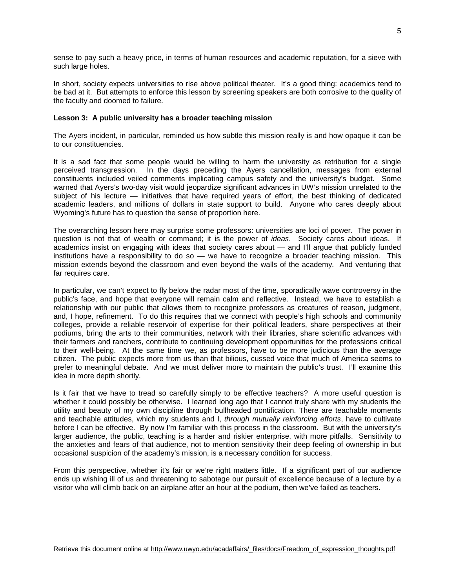sense to pay such a heavy price, in terms of human resources and academic reputation, for a sieve with such large holes.

In short, society expects universities to rise above political theater. It's a good thing: academics tend to be bad at it. But attempts to enforce this lesson by screening speakers are both corrosive to the quality of the faculty and doomed to failure.

### **Lesson 3: A public university has a broader teaching mission**

The Ayers incident, in particular, reminded us how subtle this mission really is and how opaque it can be to our constituencies.

It is a sad fact that some people would be willing to harm the university as retribution for a single perceived transgression. In the days preceding the Ayers cancellation, messages from external constituents included veiled comments implicating campus safety and the university's budget. Some warned that Ayers's two-day visit would jeopardize significant advances in UW's mission unrelated to the subject of his lecture — initiatives that have required years of effort, the best thinking of dedicated academic leaders, and millions of dollars in state support to build. Anyone who cares deeply about Wyoming's future has to question the sense of proportion here.

The overarching lesson here may surprise some professors: universities are loci of power. The power in question is not that of wealth or command; it is the power of *ideas*. Society cares about ideas. If academics insist on engaging with ideas that society cares about — and I'll argue that publicly funded institutions have a responsibility to do so — we have to recognize a broader teaching mission. This mission extends beyond the classroom and even beyond the walls of the academy. And venturing that far requires care.

In particular, we can't expect to fly below the radar most of the time, sporadically wave controversy in the public's face, and hope that everyone will remain calm and reflective. Instead, we have to establish a relationship with our public that allows them to recognize professors as creatures of reason, judgment, and, I hope, refinement. To do this requires that we connect with people's high schools and community colleges, provide a reliable reservoir of expertise for their political leaders, share perspectives at their podiums, bring the arts to their communities, network with their libraries, share scientific advances with their farmers and ranchers, contribute to continuing development opportunities for the professions critical to their well-being. At the same time we, as professors, have to be more judicious than the average citizen. The public expects more from us than that bilious, cussed voice that much of America seems to prefer to meaningful debate. And we must deliver more to maintain the public's trust. I'll examine this idea in more depth shortly.

Is it fair that we have to tread so carefully simply to be effective teachers? A more useful question is whether it could possibly be otherwise. I learned long ago that I cannot truly share with my students the utility and beauty of my own discipline through bullheaded pontification. There are teachable moments and teachable attitudes, which my students and I, *through mutually reinforcing efforts*, have to cultivate before I can be effective. By now I'm familiar with this process in the classroom. But with the university's larger audience, the public, teaching is a harder and riskier enterprise, with more pitfalls. Sensitivity to the anxieties and fears of that audience, not to mention sensitivity their deep feeling of ownership in but occasional suspicion of the academy's mission, is a necessary condition for success.

From this perspective, whether it's fair or we're right matters little. If a significant part of our audience ends up wishing ill of us and threatening to sabotage our pursuit of excellence because of a lecture by a visitor who will climb back on an airplane after an hour at the podium, then we've failed as teachers.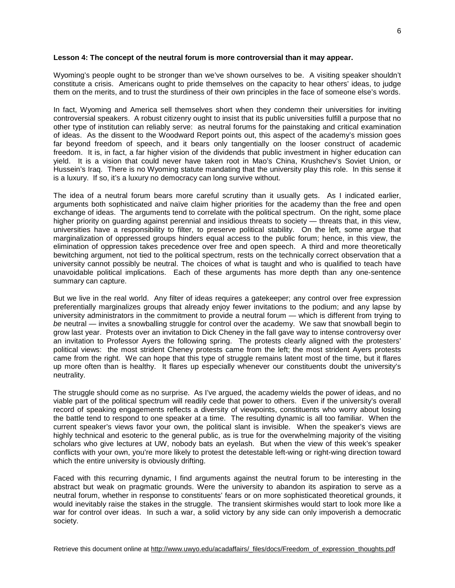#### **Lesson 4: The concept of the neutral forum is more controversial than it may appear.**

Wyoming's people ought to be stronger than we've shown ourselves to be. A visiting speaker shouldn't constitute a crisis. Americans ought to pride themselves on the capacity to hear others' ideas, to judge them on the merits, and to trust the sturdiness of their own principles in the face of someone else's words.

In fact, Wyoming and America sell themselves short when they condemn their universities for inviting controversial speakers. A robust citizenry ought to insist that its public universities fulfill a purpose that no other type of institution can reliably serve: as neutral forums for the painstaking and critical examination of ideas. As the dissent to the Woodward Report points out, this aspect of the academy's mission goes far beyond freedom of speech, and it bears only tangentially on the looser construct of academic freedom. It is, in fact, a far higher vision of the dividends that public investment in higher education can yield. It is a vision that could never have taken root in Mao's China, Krushchev's Soviet Union, or Hussein's Iraq. There is no Wyoming statute mandating that the university play this role. In this sense it is a luxury. If so, it's a luxury no democracy can long survive without.

The idea of a neutral forum bears more careful scrutiny than it usually gets. As I indicated earlier, arguments both sophisticated and naïve claim higher priorities for the academy than the free and open exchange of ideas. The arguments tend to correlate with the political spectrum. On the right, some place higher priority on guarding against perennial and insidious threats to society — threats that, in this view, universities have a responsibility to filter, to preserve political stability. On the left, some argue that marginalization of oppressed groups hinders equal access to the public forum; hence, in this view, the elimination of oppression takes precedence over free and open speech. A third and more theoretically bewitching argument, not tied to the political spectrum, rests on the technically correct observation that a university cannot possibly be neutral. The choices of what is taught and who is qualified to teach have unavoidable political implications. Each of these arguments has more depth than any one-sentence summary can capture.

But we live in the real world. Any filter of ideas requires a gatekeeper; any control over free expression preferentially marginalizes groups that already enjoy fewer invitations to the podium; and any lapse by university administrators in the commitment to provide a neutral forum — which is different from trying to *be* neutral — invites a snowballing struggle for control over the academy. We saw that snowball begin to grow last year. Protests over an invitation to Dick Cheney in the fall gave way to intense controversy over an invitation to Professor Ayers the following spring. The protests clearly aligned with the protesters' political views: the most strident Cheney protests came from the left; the most strident Ayers protests came from the right. We can hope that this type of struggle remains latent most of the time, but it flares up more often than is healthy. It flares up especially whenever our constituents doubt the university's neutrality.

The struggle should come as no surprise. As I've argued, the academy wields the power of ideas, and no viable part of the political spectrum will readily cede that power to others. Even if the university's overall record of speaking engagements reflects a diversity of viewpoints, constituents who worry about losing the battle tend to respond to one speaker at a time. The resulting dynamic is all too familiar. When the current speaker's views favor your own, the political slant is invisible. When the speaker's views are highly technical and esoteric to the general public, as is true for the overwhelming majority of the visiting scholars who give lectures at UW, nobody bats an eyelash. But when the view of this week's speaker conflicts with your own, you're more likely to protest the detestable left-wing or right-wing direction toward which the entire university is obviously drifting.

Faced with this recurring dynamic, I find arguments against the neutral forum to be interesting in the abstract but weak on pragmatic grounds. Were the university to abandon its aspiration to serve as a neutral forum, whether in response to constituents' fears or on more sophisticated theoretical grounds, it would inevitably raise the stakes in the struggle. The transient skirmishes would start to look more like a war for control over ideas. In such a war, a solid victory by any side can only impoverish a democratic society.

Retrieve this document online at [http://www.uwyo.edu/acadaffairs/\\_files/docs/Freedom\\_of\\_expression\\_thoughts.pdf](http://www.uwyo.edu/acadaffairs/_files/docs/Freedom_of_expression_thoughts.pdf)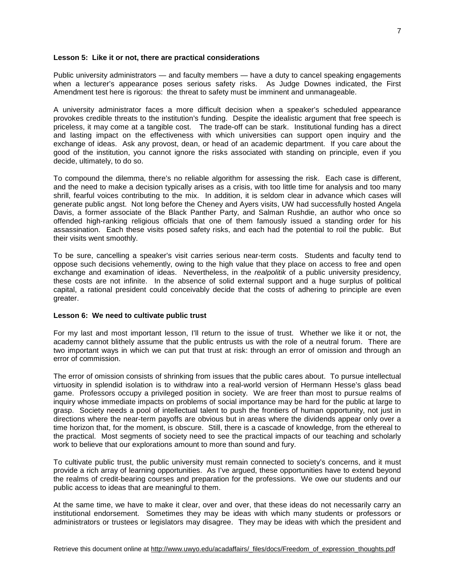#### **Lesson 5: Like it or not, there are practical considerations**

Public university administrators — and faculty members — have a duty to cancel speaking engagements when a lecturer's appearance poses serious safety risks. As Judge Downes indicated, the First Amendment test here is rigorous: the threat to safety must be imminent and unmanageable.

A university administrator faces a more difficult decision when a speaker's scheduled appearance provokes credible threats to the institution's funding. Despite the idealistic argument that free speech is priceless, it may come at a tangible cost. The trade-off can be stark. Institutional funding has a direct and lasting impact on the effectiveness with which universities can support open inquiry and the exchange of ideas. Ask any provost, dean, or head of an academic department. If you care about the good of the institution, you cannot ignore the risks associated with standing on principle, even if you decide, ultimately, to do so.

To compound the dilemma, there's no reliable algorithm for assessing the risk. Each case is different, and the need to make a decision typically arises as a crisis, with too little time for analysis and too many shrill, fearful voices contributing to the mix. In addition, it is seldom clear in advance which cases will generate public angst. Not long before the Cheney and Ayers visits, UW had successfully hosted Angela Davis, a former associate of the Black Panther Party, and Salman Rushdie, an author who once so offended high-ranking religious officials that one of them famously issued a standing order for his assassination. Each these visits posed safety risks, and each had the potential to roil the public. But their visits went smoothly.

To be sure, cancelling a speaker's visit carries serious near-term costs. Students and faculty tend to oppose such decisions vehemently, owing to the high value that they place on access to free and open exchange and examination of ideas. Nevertheless, in the *realpolitik* of a public university presidency, these costs are not infinite. In the absence of solid external support and a huge surplus of political capital, a rational president could conceivably decide that the costs of adhering to principle are even greater.

#### **Lesson 6: We need to cultivate public trust**

For my last and most important lesson, I'll return to the issue of trust. Whether we like it or not, the academy cannot blithely assume that the public entrusts us with the role of a neutral forum. There are two important ways in which we can put that trust at risk: through an error of omission and through an error of commission.

The error of omission consists of shrinking from issues that the public cares about. To pursue intellectual virtuosity in splendid isolation is to withdraw into a real-world version of Hermann Hesse's glass bead game. Professors occupy a privileged position in society. We are freer than most to pursue realms of inquiry whose immediate impacts on problems of social importance may be hard for the public at large to grasp. Society needs a pool of intellectual talent to push the frontiers of human opportunity, not just in directions where the near-term payoffs are obvious but in areas where the dividends appear only over a time horizon that, for the moment, is obscure. Still, there is a cascade of knowledge, from the ethereal to the practical. Most segments of society need to see the practical impacts of our teaching and scholarly work to believe that our explorations amount to more than sound and fury.

To cultivate public trust, the public university must remain connected to society's concerns, and it must provide a rich array of learning opportunities. As I've argued, these opportunities have to extend beyond the realms of credit-bearing courses and preparation for the professions. We owe our students and our public access to ideas that are meaningful to them.

At the same time, we have to make it clear, over and over, that these ideas do not necessarily carry an institutional endorsement. Sometimes they may be ideas with which many students or professors or administrators or trustees or legislators may disagree. They may be ideas with which the president and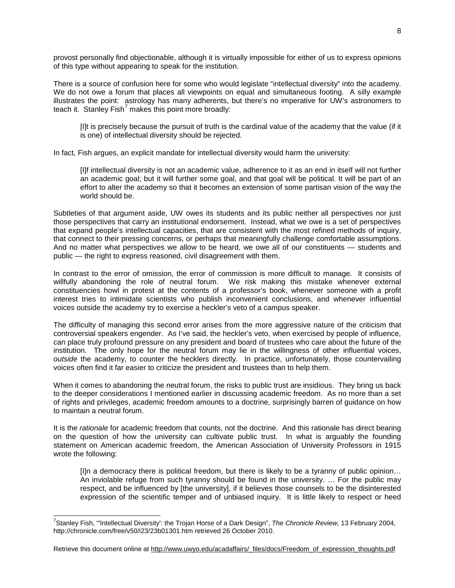provost personally find objectionable, although it is virtually impossible for either of us to express opinions of this type without appearing to speak for the institution.

There is a source of confusion here for some who would legislate "intellectual diversity" into the academy. We do not owe a forum that places all viewpoints on equal and simultaneous footing. A silly example illustrates the point: astrology has many adherents, but there's no imperative for UW's astronomers to teach it. Stanley Fish<sup>'</sup> makes this point more broadly:

[I]t is precisely because the pursuit of truth is the cardinal value of the academy that the value (if it is one) of intellectual diversity should be rejected.

In fact, Fish argues, an explicit mandate for intellectual diversity would harm the university:

[I]f intellectual diversity is not an academic value, adherence to it as an end in itself will not further an academic goal; but it will further some goal, and that goal will be political. It will be part of an effort to alter the academy so that it becomes an extension of some partisan vision of the way the world should be.

Subtleties of that argument aside, UW owes its students and its public neither all perspectives nor just those perspectives that carry an institutional endorsement. Instead, what we owe is a set of perspectives that expand people's intellectual capacities, that are consistent with the most refined methods of inquiry, that connect to their pressing concerns, or perhaps that meaningfully challenge comfortable assumptions. And no matter what perspectives we allow to be heard, we owe all of our constituents — students and public — the right to express reasoned, civil disagreement with them.

In contrast to the error of omission, the error of commission is more difficult to manage. It consists of willfully abandoning the role of neutral forum. We risk making this mistake whenever external constituencies howl in protest at the contents of a professor's book, whenever someone with a profit interest tries to intimidate scientists who publish inconvenient conclusions, and whenever influential voices outside the academy try to exercise a heckler's veto of a campus speaker.

The difficulty of managing this second error arises from the more aggressive nature of the criticism that controversial speakers engender. As I've said, the heckler's veto, when exercised by people of influence, can place truly profound pressure on any president and board of trustees who care about the future of the institution. The only hope for the neutral forum may lie in the willingness of other influential voices, *outside* the academy, to counter the hecklers directly. In practice, unfortunately, those countervailing voices often find it far easier to criticize the president and trustees than to help them.

When it comes to abandoning the neutral forum, the risks to public trust are insidious. They bring us back to the deeper considerations I mentioned earlier in discussing academic freedom. As no more than a set of rights and privileges, academic freedom amounts to a doctrine, surprisingly barren of guidance on how to maintain a neutral forum.

It is the *rationale* for academic freedom that counts, not the doctrine. And this rationale has direct bearing on the question of how the university can cultivate public trust. In what is arguably the founding statement on American academic freedom, the American Association of University Professors in 1915 wrote the following:

[I]n a democracy there is political freedom, but there is likely to be a tyranny of public opinion… An inviolable refuge from such tyranny should be found in the university. … For the public may respect, and be influenced by [the university], if it believes those counsels to be the disinterested expression of the scientific temper and of unbiased inquiry. It is little likely to respect or heed

<span id="page-7-0"></span> <sup>7</sup> Stanley Fish, "'Intellectual Diversity': the Trojan Horse of a Dark Design", *The Chronicle Review,* 13 February 2004, http://chronicle.com/free/v50/i23/23b01301.htm retrieved 26 October 2010.